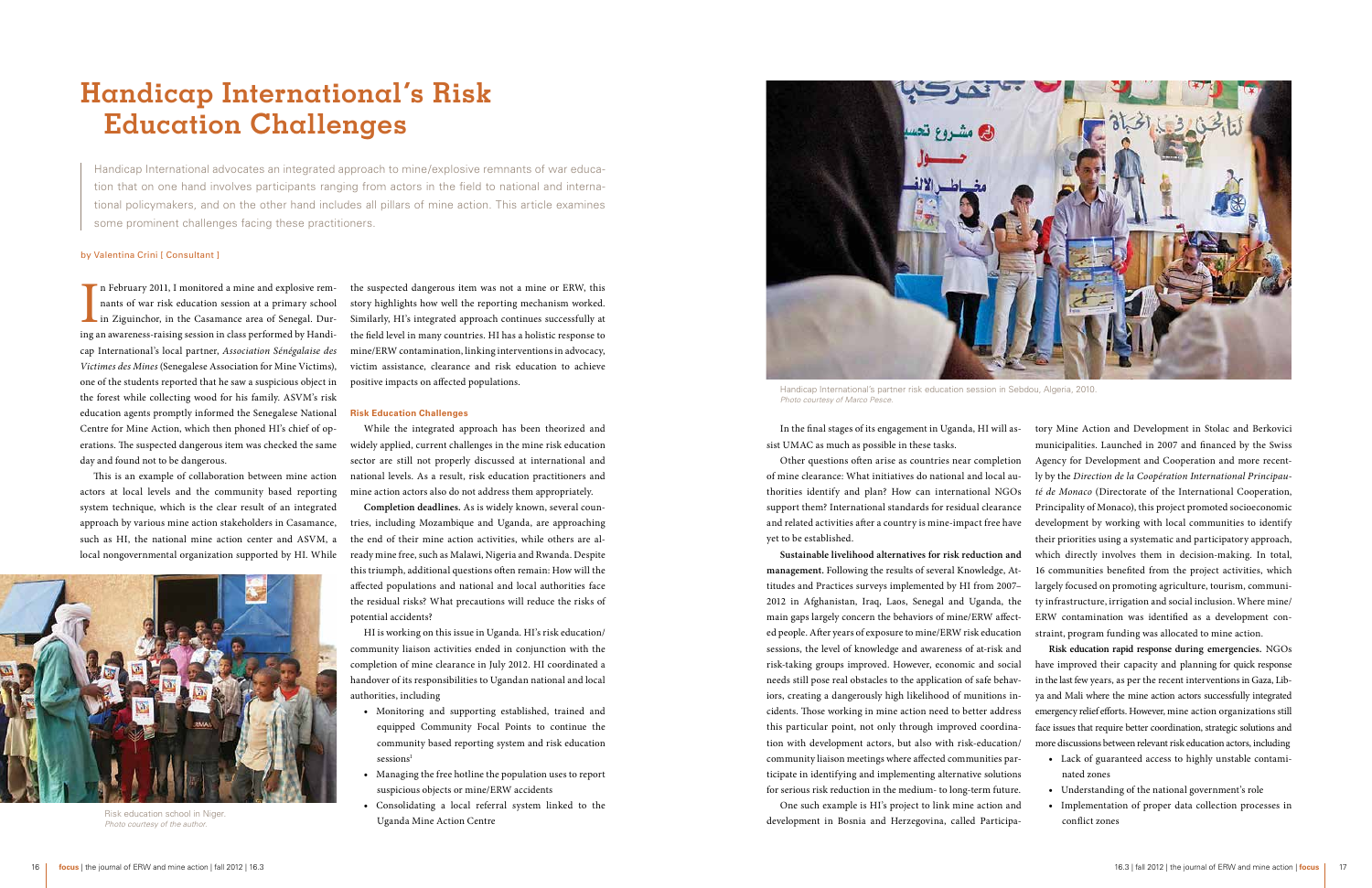# **Handicap International's Risk Education Challenges**

Handicap International advocates an integrated approach to mine/explosive remnants of war education that on one hand involves participants ranging from actors in the field to national and international policymakers, and on the other hand includes all pillars of mine action. This article examines some prominent challenges facing these practitioners.

#### by Valentina Crini [ Consultant ]

In February 2011, I monitored a mine and explosive remnants of war risk education session at a primary school in Ziguinchor, in the Casamance area of Senegal. During an awareness-raising session in class performed by Handi n February 2011, I monitored a mine and explosive remnants of war risk education session at a primary school In Ziguinchor, in the Casamance area of Senegal. Durcap International's local partner, *Association Sénégalaise des Victimes des Mines* (Senegalese Association for Mine Victims), one of the students reported that he saw a suspicious object in the forest while collecting wood for his family. ASVM's risk education agents promptly informed the Senegalese National Centre for Mine Action, which then phoned HI's chief of operations. The suspected dangerous item was checked the same day and found not to be dangerous.

This is an example of collaboration between mine action actors at local levels and the community based reporting system technique, which is the clear result of an integrated approach by various mine action stakeholders in Casamance, such as HI, the national mine action center and ASVM, a local nongovernmental organization supported by HI. While

the suspected dangerous item was not a mine or ERW, this story highlights how well the reporting mechanism worked. Similarly, HI's integrated approach continues successfully at the field level in many countries. HI has a holistic response to mine/ERW contamination, linking interventions in advocacy, victim assistance, clearance and risk education to achieve positive impacts on affected populations.

#### **Risk Education Challenges**

While the integrated approach has been theorized and widely applied, current challenges in the mine risk education sector are still not properly discussed at international and national levels. As a result, risk education practitioners and mine action actors also do not address them appropriately.

**Completion deadlines.** As is widely known, several countries, including Mozambique and Uganda, are approaching the end of their mine action activities, while others are already mine free, such as Malawi, Nigeria and Rwanda. Despite this triumph, additional questions often remain: How will the affected populations and national and local authorities face the residual risks? What precautions will reduce the risks of potential accidents?

HI is working on this issue in Uganda. HI's risk education/ community liaison activities ended in conjunction with the completion of mine clearance in July 2012. HI coordinated a handover of its responsibilities to Ugandan national and local authorities, including

- • Monitoring and supporting established, trained and equipped Community Focal Points to continue the community based reporting system and risk education sessions<sup>1</sup>
- • Managing the free hotline the population uses to report suspicious objects or mine/ERW accidents
- • Consolidating a local referral system linked to the Uganda Mine Action Centre

In the final stages of its engagement in Uganda, HI will assist UMAC as much as possible in these tasks.

sessions, the level of knowledge and awareness of at-risk and risk-taking groups improved. However, economic and social needs still pose real obstacles to the application of safe behaviors, creating a dangerously high likelihood of munitions incidents. Those working in mine action need to better address this particular point, not only through improved coordination with development actors, but also with risk-education/ community liaison meetings where affected communities participate in identifying and implementing alternative solutions for serious risk reduction in the medium- to long-term future.

Other questions often arise as countries near completion of mine clearance: What initiatives do national and local authorities identify and plan? How can international NGOs support them? International standards for residual clearance and related activities after a country is mine-impact free have yet to be established. **Sustainable livelihood alternatives for risk reduction and management.** Following the results of several Knowledge, Attitudes and Practices surveys implemented by HI from 2007– 2012 in Afghanistan, Iraq, Laos, Senegal and Uganda, the main gaps largely concern the behaviors of mine/ERW affected people. After years of exposure to mine/ERW risk education tory Mine Action and Development in Stolac and Berkovici municipalities. Launched in 2007 and financed by the Swiss Agency for Development and Cooperation and more recently by the *Direction de la Coopération International Principauté de Monaco* (Directorate of the International Cooperation, Principality of Monaco), this project promoted socioeconomic development by working with local communities to identify their priorities using a systematic and participatory approach, which directly involves them in decision-making. In total, 16 communities benefited from the project activities, which largely focused on promoting agriculture, tourism, community infrastructure, irrigation and social inclusion. Where mine/ ERW contamination was identified as a development constraint, program funding was allocated to mine action.

One such example is HI's project to link mine action and development in Bosnia and Herzegovina, called Participa-

**Risk education rapid response during emergencies.** NGOs have improved their capacity and planning for quick response in the last few years, as per the recent interventions in Gaza, Libya and Mali where the mine action actors successfully integrated emergency relief efforts. However, mine action organizations still face issues that require better coordination, strategic solutions and more discussions between relevant risk education actors, including

- • Lack of guaranteed access to highly unstable contaminated zones
- • Understanding of the national government's role
- Implementation of proper data collection processes in conflict zones



Handicap International's partner risk education session in Sebdou, Algeria, 2010. *Photo courtesy of Marco Pesce.*



Risk education school in Niger. *Photo courtesy of the author.*